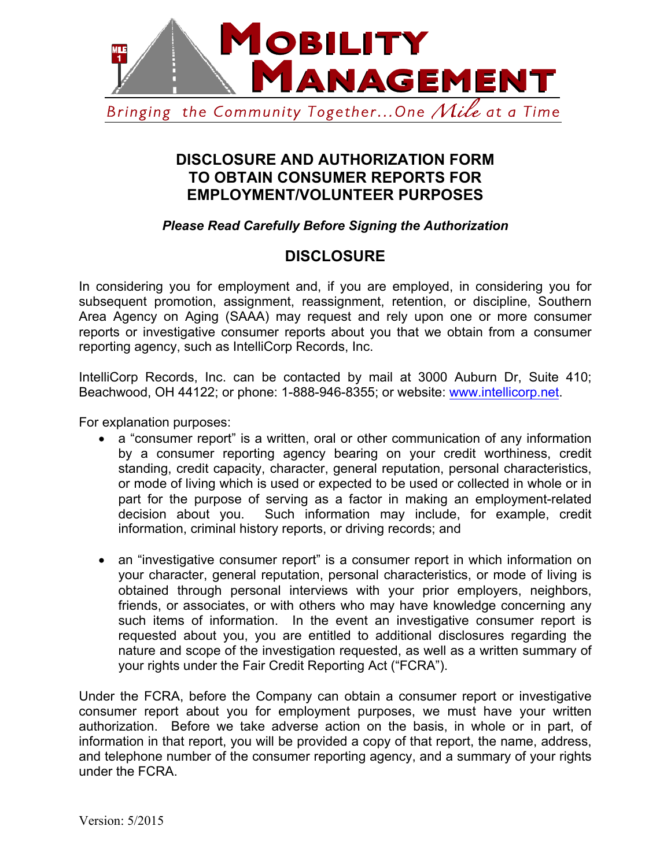

## **DISCLOSURE AND AUTHORIZATION FORM TO OBTAIN CONSUMER REPORTS FOR EMPLOYMENT/VOLUNTEER PURPOSES**

*Please Read Carefully Before Signing the Authorization*

## **DISCLOSURE**

In considering you for employment and, if you are employed, in considering you for subsequent promotion, assignment, reassignment, retention, or discipline, Southern Area Agency on Aging (SAAA) may request and rely upon one or more consumer reports or investigative consumer reports about you that we obtain from a consumer reporting agency, such as IntelliCorp Records, Inc.

IntelliCorp Records, Inc. can be contacted by mail at 3000 Auburn Dr, Suite 410; Beachwood, OH 44122; or phone: 1-888-946-8355; or website: www.intellicorp.net.

For explanation purposes:

- a "consumer report" is a written, oral or other communication of any information by a consumer reporting agency bearing on your credit worthiness, credit standing, credit capacity, character, general reputation, personal characteristics, or mode of living which is used or expected to be used or collected in whole or in part for the purpose of serving as a factor in making an employment-related decision about you. Such information may include, for example, credit information, criminal history reports, or driving records; and
- an "investigative consumer report" is a consumer report in which information on your character, general reputation, personal characteristics, or mode of living is obtained through personal interviews with your prior employers, neighbors, friends, or associates, or with others who may have knowledge concerning any such items of information. In the event an investigative consumer report is requested about you, you are entitled to additional disclosures regarding the nature and scope of the investigation requested, as well as a written summary of your rights under the Fair Credit Reporting Act ("FCRA").

Under the FCRA, before the Company can obtain a consumer report or investigative consumer report about you for employment purposes, we must have your written authorization. Before we take adverse action on the basis, in whole or in part, of information in that report, you will be provided a copy of that report, the name, address, and telephone number of the consumer reporting agency, and a summary of your rights under the FCRA.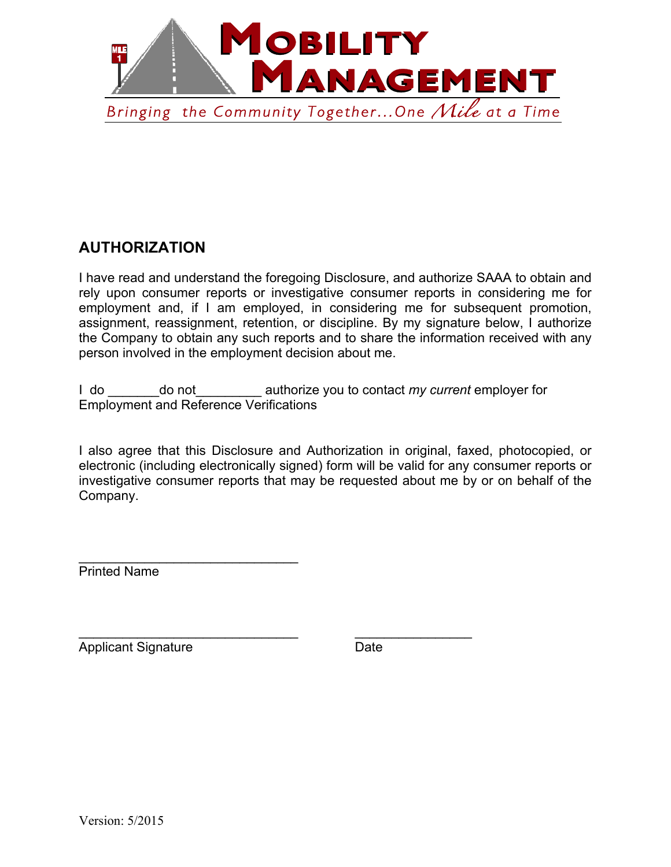

## **AUTHORIZATION**

I have read and understand the foregoing Disclosure, and authorize SAAA to obtain and rely upon consumer reports or investigative consumer reports in considering me for employment and, if I am employed, in considering me for subsequent promotion, assignment, reassignment, retention, or discipline. By my signature below, I authorize the Company to obtain any such reports and to share the information received with any person involved in the employment decision about me.

I do \_\_\_\_\_\_\_do not\_\_\_\_\_\_\_\_\_ authorize you to contact *my current* employer for Employment and Reference Verifications

 $\mathcal{L}_\text{max}$  , and the contract of the contract of the contract of the contract of the contract of the contract of the contract of the contract of the contract of the contract of the contract of the contract of the contr

I also agree that this Disclosure and Authorization in original, faxed, photocopied, or electronic (including electronically signed) form will be valid for any consumer reports or investigative consumer reports that may be requested about me by or on behalf of the Company.

Printed Name

Applicant Signature Date

 $\overline{\phantom{a}}$  , which is a set of the set of the set of the set of the set of the set of the set of the set of the set of the set of the set of the set of the set of the set of the set of the set of the set of the set of th